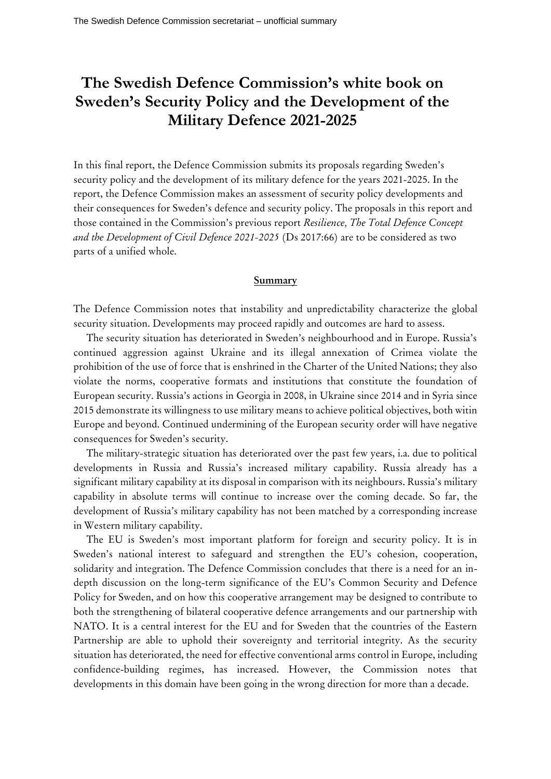## **The Swedish Defence Commission's white book on Sweden's Security Policy and the Development of the Military Defence 2021-2025**

In this final report, the Defence Commission submits its proposals regarding Sweden's security policy and the development of its military defence for the years 2021-2025. In the report, the Defence Commission makes an assessment of security policy developments and their consequences for Sweden's defence and security policy. The proposals in this report and those contained in the Commission's previous report *Resilience, The Total Defence Concept and the Development of Civil Defence 2021-2025* (Ds 2017:66) are to be considered as two parts of a unified whole.

## **Summary**

The Defence Commission notes that instability and unpredictability characterize the global security situation. Developments may proceed rapidly and outcomes are hard to assess.

The security situation has deteriorated in Sweden's neighbourhood and in Europe. Russia's continued aggression against Ukraine and its illegal annexation of Crimea violate the prohibition of the use of force that is enshrined in the Charter of the United Nations; they also violate the norms, cooperative formats and institutions that constitute the foundation of European security. Russia's actions in Georgia in 2008, in Ukraine since 2014 and in Syria since 2015 demonstrate its willingness to use military means to achieve political objectives, both witin Europe and beyond. Continued undermining of the European security order will have negative consequences for Sweden's security.

The military-strategic situation has deteriorated over the past few years, i.a. due to political developments in Russia and Russia's increased military capability. Russia already has a significant military capability at its disposal in comparison with its neighbours. Russia's military capability in absolute terms will continue to increase over the coming decade. So far, the development of Russia's military capability has not been matched by a corresponding increase in Western military capability.

The EU is Sweden's most important platform for foreign and security policy. It is in Sweden's national interest to safeguard and strengthen the EU's cohesion, cooperation, solidarity and integration. The Defence Commission concludes that there is a need for an indepth discussion on the long-term significance of the EU's Common Security and Defence Policy for Sweden, and on how this cooperative arrangement may be designed to contribute to both the strengthening of bilateral cooperative defence arrangements and our partnership with NATO. It is a central interest for the EU and for Sweden that the countries of the Eastern Partnership are able to uphold their sovereignty and territorial integrity. As the security situation has deteriorated, the need for effective conventional arms control in Europe, including confidence-building regimes, has increased. However, the Commission notes that developments in this domain have been going in the wrong direction for more than a decade.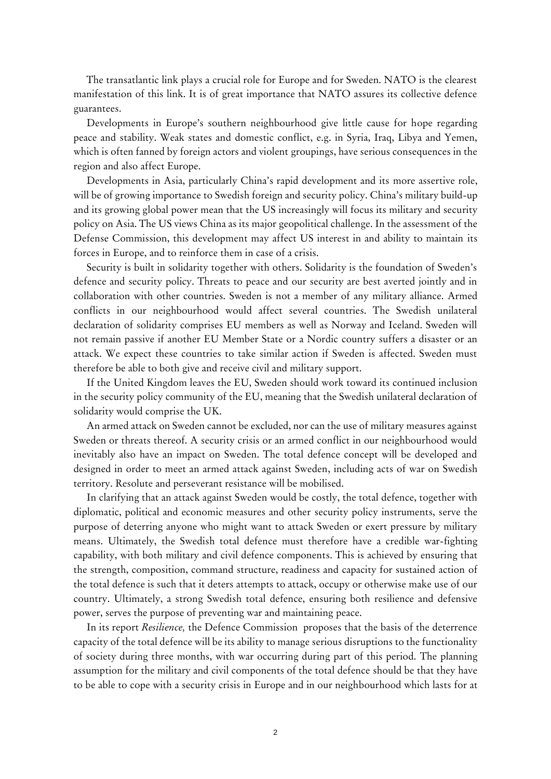The transatlantic link plays a crucial role for Europe and for Sweden. NATO is the clearest manifestation of this link. It is of great importance that NATO assures its collective defence guarantees.

Developments in Europe's southern neighbourhood give little cause for hope regarding peace and stability. Weak states and domestic conflict, e.g. in Syria, Iraq, Libya and Yemen, which is often fanned by foreign actors and violent groupings, have serious consequences in the region and also affect Europe.

Developments in Asia, particularly China's rapid development and its more assertive role, will be of growing importance to Swedish foreign and security policy. China's military build-up and its growing global power mean that the US increasingly will focus its military and security policy on Asia. The US views China as its major geopolitical challenge. In the assessment of the Defense Commission, this development may affect US interest in and ability to maintain its forces in Europe, and to reinforce them in case of a crisis.

Security is built in solidarity together with others. Solidarity is the foundation of Sweden's defence and security policy. Threats to peace and our security are best averted jointly and in collaboration with other countries. Sweden is not a member of any military alliance. Armed conflicts in our neighbourhood would affect several countries. The Swedish unilateral declaration of solidarity comprises EU members as well as Norway and Iceland. Sweden will not remain passive if another EU Member State or a Nordic country suffers a disaster or an attack. We expect these countries to take similar action if Sweden is affected. Sweden must therefore be able to both give and receive civil and military support.

If the United Kingdom leaves the EU, Sweden should work toward its continued inclusion in the security policy community of the EU, meaning that the Swedish unilateral declaration of solidarity would comprise the UK.

An armed attack on Sweden cannot be excluded, nor can the use of military measures against Sweden or threats thereof. A security crisis or an armed conflict in our neighbourhood would inevitably also have an impact on Sweden. The total defence concept will be developed and designed in order to meet an armed attack against Sweden, including acts of war on Swedish territory. Resolute and perseverant resistance will be mobilised.

In clarifying that an attack against Sweden would be costly, the total defence, together with diplomatic, political and economic measures and other security policy instruments, serve the purpose of deterring anyone who might want to attack Sweden or exert pressure by military means. Ultimately, the Swedish total defence must therefore have a credible war-fighting capability, with both military and civil defence components. This is achieved by ensuring that the strength, composition, command structure, readiness and capacity for sustained action of the total defence is such that it deters attempts to attack, occupy or otherwise make use of our country. Ultimately, a strong Swedish total defence, ensuring both resilience and defensive power, serves the purpose of preventing war and maintaining peace.

In its report *Resilience,* the Defence Commission proposes that the basis of the deterrence capacity of the total defence will be its ability to manage serious disruptions to the functionality of society during three months, with war occurring during part of this period. The planning assumption for the military and civil components of the total defence should be that they have to be able to cope with a security crisis in Europe and in our neighbourhood which lasts for at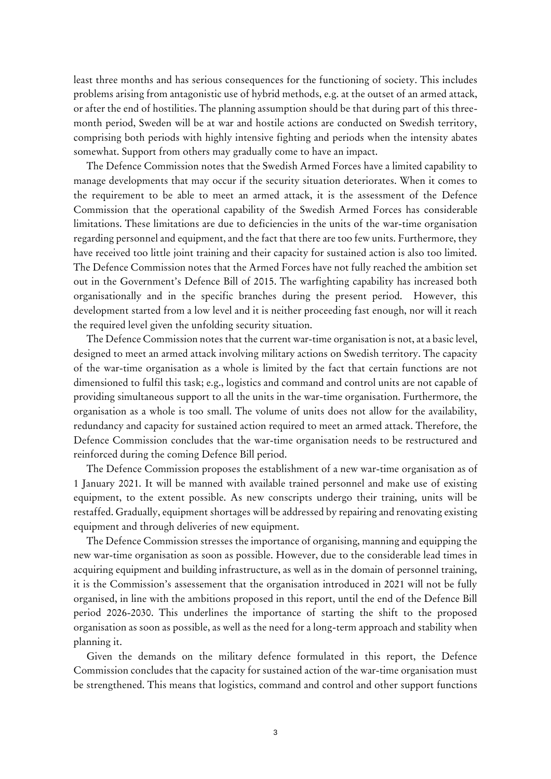least three months and has serious consequences for the functioning of society. This includes problems arising from antagonistic use of hybrid methods, e.g. at the outset of an armed attack, or after the end of hostilities. The planning assumption should be that during part of this threemonth period, Sweden will be at war and hostile actions are conducted on Swedish territory, comprising both periods with highly intensive fighting and periods when the intensity abates somewhat. Support from others may gradually come to have an impact.

The Defence Commission notes that the Swedish Armed Forces have a limited capability to manage developments that may occur if the security situation deteriorates. When it comes to the requirement to be able to meet an armed attack, it is the assessment of the Defence Commission that the operational capability of the Swedish Armed Forces has considerable limitations. These limitations are due to deficiencies in the units of the war-time organisation regarding personnel and equipment, and the fact that there are too few units. Furthermore, they have received too little joint training and their capacity for sustained action is also too limited. The Defence Commission notes that the Armed Forces have not fully reached the ambition set out in the Government's Defence Bill of 2015. The warfighting capability has increased both organisationally and in the specific branches during the present period. However, this development started from a low level and it is neither proceeding fast enough, nor will it reach the required level given the unfolding security situation.

The Defence Commission notes that the current war-time organisation is not, at a basic level, designed to meet an armed attack involving military actions on Swedish territory. The capacity of the war-time organisation as a whole is limited by the fact that certain functions are not dimensioned to fulfil this task; e.g., logistics and command and control units are not capable of providing simultaneous support to all the units in the war-time organisation. Furthermore, the organisation as a whole is too small. The volume of units does not allow for the availability, redundancy and capacity for sustained action required to meet an armed attack. Therefore, the Defence Commission concludes that the war-time organisation needs to be restructured and reinforced during the coming Defence Bill period.

The Defence Commission proposes the establishment of a new war-time organisation as of 1 January 2021. It will be manned with available trained personnel and make use of existing equipment, to the extent possible. As new conscripts undergo their training, units will be restaffed. Gradually, equipment shortages will be addressed by repairing and renovating existing equipment and through deliveries of new equipment.

The Defence Commission stresses the importance of organising, manning and equipping the new war-time organisation as soon as possible. However, due to the considerable lead times in acquiring equipment and building infrastructure, as well as in the domain of personnel training, it is the Commission's assessement that the organisation introduced in 2021 will not be fully organised, in line with the ambitions proposed in this report, until the end of the Defence Bill period 2026-2030. This underlines the importance of starting the shift to the proposed organisation as soon as possible, as well as the need for a long-term approach and stability when planning it.

Given the demands on the military defence formulated in this report, the Defence Commission concludes that the capacity for sustained action of the war-time organisation must be strengthened. This means that logistics, command and control and other support functions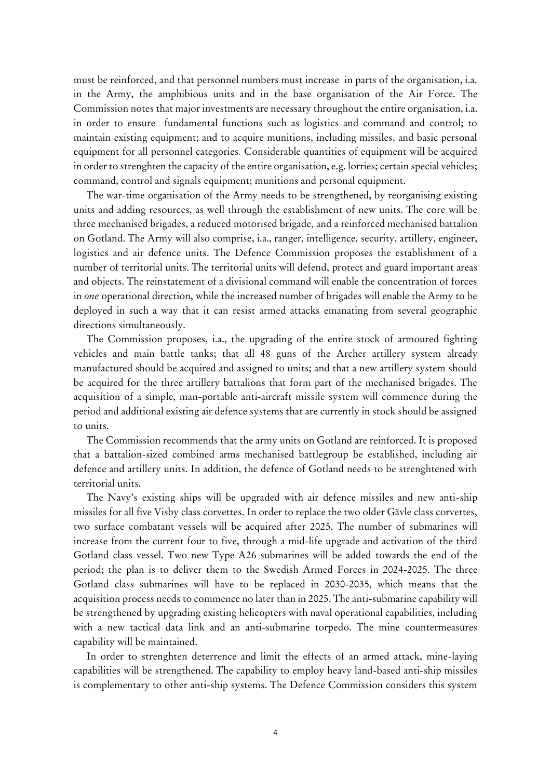must be reinforced, and that personnel numbers must increase in parts of the organisation, i.a. in the Army, the amphibious units and in the base organisation of the Air Force. The Commission notes that major investments are necessary throughout the entire organisation, i.a. in order to ensure fundamental functions such as logistics and command and control; to maintain existing equipment; and to acquire munitions, including missiles, and basic personal equipment for all personnel categories*.* Considerable quantities of equipment will be acquired in order to strenghten the capacity of the entire organisation, e.g. lorries; certain special vehicles; command, control and signals equipment; munitions and personal equipment.

The war-time organisation of the Army needs to be strengthened, by reorganising existing units and adding resources, as well through the establishment of new units. The core will be three mechanised brigades, a reduced motorised brigade*,* and a reinforced mechanised battalion on Gotland. The Army will also comprise, i.a., ranger, intelligence, security, artillery, engineer, logistics and air defence units. The Defence Commission proposes the establishment of a number of territorial units. The territorial units will defend, protect and guard important areas and objects. The reinstatement of a divisional command will enable the concentration of forces in *one* operational direction, while the increased number of brigades will enable the Army to be deployed in such a way that it can resist armed attacks emanating from several geographic directions simultaneously.

The Commission proposes, i.a., the upgrading of the entire stock of armoured fighting vehicles and main battle tanks; that all 48 guns of the Archer artillery system already manufactured should be acquired and assigned to units; and that a new artillery system should be acquired for the three artillery battalions that form part of the mechanised brigades. The acquisition of a simple, man-portable anti-aircraft missile system will commence during the period and additional existing air defence systems that are currently in stock should be assigned to units.

The Commission recommends that the army units on Gotland are reinforced. It is proposed that a battalion-sized combined arms mechanised battlegroup be established, including air defence and artillery units. In addition, the defence of Gotland needs to be strenghtened with territorial units.

The Navy's existing ships will be upgraded with air defence missiles and new anti-ship missiles for all five Visby class corvettes. In order to replace the two older Gävle class corvettes, two surface combatant vessels will be acquired after 2025. The number of submarines will increase from the current four to five, through a mid-life upgrade and activation of the third Gotland class vessel. Two new Type A26 submarines will be added towards the end of the period; the plan is to deliver them to the Swedish Armed Forces in 2024-2025. The three Gotland class submarines will have to be replaced in 2030-2035, which means that the acquisition process needs to commence no later than in 2025. The anti-submarine capability will be strengthened by upgrading existing helicopters with naval operational capabilities, including with a new tactical data link and an anti-submarine torpedo. The mine countermeasures capability will be maintained.

In order to strenghten deterrence and limit the effects of an armed attack, mine-laying capabilities will be strengthened. The capability to employ heavy land-based anti-ship missiles is complementary to other anti-ship systems. The Defence Commission considers this system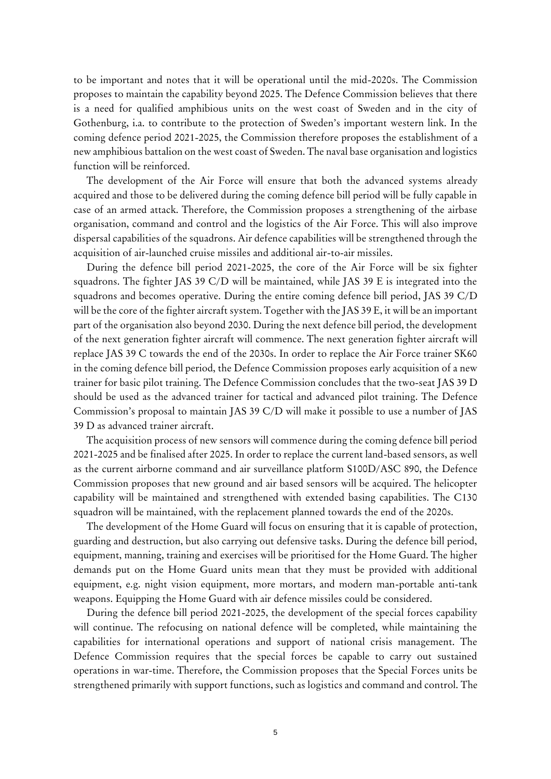to be important and notes that it will be operational until the mid-2020s. The Commission proposes to maintain the capability beyond 2025. The Defence Commission believes that there is a need for qualified amphibious units on the west coast of Sweden and in the city of Gothenburg, i.a. to contribute to the protection of Sweden's important western link. In the coming defence period 2021-2025, the Commission therefore proposes the establishment of a new amphibious battalion on the west coast of Sweden. The naval base organisation and logistics function will be reinforced.

The development of the Air Force will ensure that both the advanced systems already acquired and those to be delivered during the coming defence bill period will be fully capable in case of an armed attack. Therefore, the Commission proposes a strengthening of the airbase organisation, command and control and the logistics of the Air Force. This will also improve dispersal capabilities of the squadrons. Air defence capabilities will be strengthened through the acquisition of air-launched cruise missiles and additional air-to-air missiles.

During the defence bill period 2021-2025, the core of the Air Force will be six fighter squadrons. The fighter JAS 39 C/D will be maintained, while JAS 39 E is integrated into the squadrons and becomes operative. During the entire coming defence bill period, JAS 39 C/D will be the core of the fighter aircraft system. Together with the JAS 39 E, it will be an important part of the organisation also beyond 2030. During the next defence bill period, the development of the next generation fighter aircraft will commence. The next generation fighter aircraft will replace JAS 39 C towards the end of the 2030s. In order to replace the Air Force trainer SK60 in the coming defence bill period, the Defence Commission proposes early acquisition of a new trainer for basic pilot training. The Defence Commission concludes that the two-seat JAS 39 D should be used as the advanced trainer for tactical and advanced pilot training. The Defence Commission's proposal to maintain JAS 39 C/D will make it possible to use a number of JAS 39 D as advanced trainer aircraft.

The acquisition process of new sensors will commence during the coming defence bill period 2021-2025 and be finalised after 2025. In order to replace the current land-based sensors, as well as the current airborne command and air surveillance platform S100D/ASC 890, the Defence Commission proposes that new ground and air based sensors will be acquired. The helicopter capability will be maintained and strengthened with extended basing capabilities. The C130 squadron will be maintained, with the replacement planned towards the end of the 2020s.

The development of the Home Guard will focus on ensuring that it is capable of protection, guarding and destruction, but also carrying out defensive tasks. During the defence bill period, equipment, manning, training and exercises will be prioritised for the Home Guard. The higher demands put on the Home Guard units mean that they must be provided with additional equipment, e.g. night vision equipment, more mortars, and modern man-portable anti-tank weapons. Equipping the Home Guard with air defence missiles could be considered.

During the defence bill period 2021-2025, the development of the special forces capability will continue. The refocusing on national defence will be completed, while maintaining the capabilities for international operations and support of national crisis management. The Defence Commission requires that the special forces be capable to carry out sustained operations in war-time. Therefore, the Commission proposes that the Special Forces units be strengthened primarily with support functions, such as logistics and command and control. The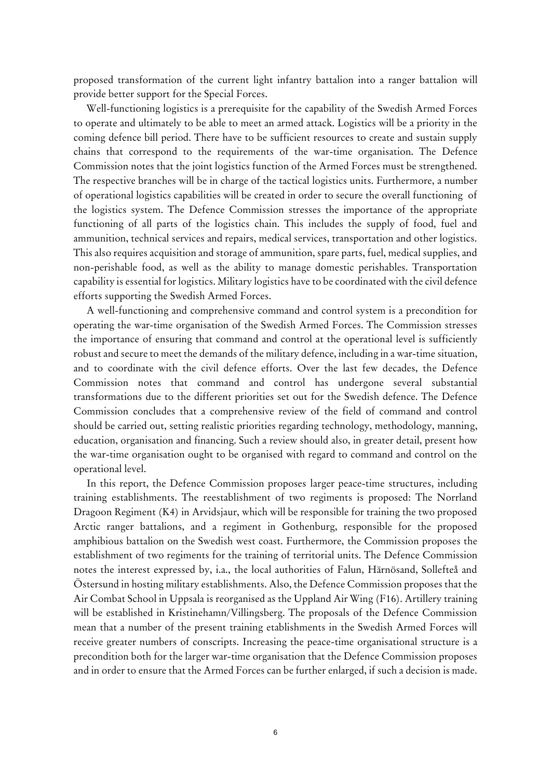proposed transformation of the current light infantry battalion into a ranger battalion will provide better support for the Special Forces.

Well-functioning logistics is a prerequisite for the capability of the Swedish Armed Forces to operate and ultimately to be able to meet an armed attack. Logistics will be a priority in the coming defence bill period. There have to be sufficient resources to create and sustain supply chains that correspond to the requirements of the war-time organisation. The Defence Commission notes that the joint logistics function of the Armed Forces must be strengthened. The respective branches will be in charge of the tactical logistics units. Furthermore, a number of operational logistics capabilities will be created in order to secure the overall functioning of the logistics system. The Defence Commission stresses the importance of the appropriate functioning of all parts of the logistics chain. This includes the supply of food, fuel and ammunition, technical services and repairs, medical services, transportation and other logistics. This also requires acquisition and storage of ammunition, spare parts, fuel, medical supplies, and non-perishable food, as well as the ability to manage domestic perishables. Transportation capability is essential for logistics. Military logistics have to be coordinated with the civil defence efforts supporting the Swedish Armed Forces.

A well-functioning and comprehensive command and control system is a precondition for operating the war-time organisation of the Swedish Armed Forces. The Commission stresses the importance of ensuring that command and control at the operational level is sufficiently robust and secure to meet the demands of the military defence, including in a war-time situation, and to coordinate with the civil defence efforts. Over the last few decades, the Defence Commission notes that command and control has undergone several substantial transformations due to the different priorities set out for the Swedish defence. The Defence Commission concludes that a comprehensive review of the field of command and control should be carried out, setting realistic priorities regarding technology, methodology, manning, education, organisation and financing. Such a review should also, in greater detail, present how the war-time organisation ought to be organised with regard to command and control on the operational level.

In this report, the Defence Commission proposes larger peace-time structures, including training establishments. The reestablishment of two regiments is proposed: The Norrland Dragoon Regiment (K4) in Arvidsjaur, which will be responsible for training the two proposed Arctic ranger battalions, and a regiment in Gothenburg, responsible for the proposed amphibious battalion on the Swedish west coast. Furthermore, the Commission proposes the establishment of two regiments for the training of territorial units. The Defence Commission notes the interest expressed by, i.a., the local authorities of Falun, Härnösand, Sollefteå and Östersund in hosting military establishments. Also, the Defence Commission proposes that the Air Combat School in Uppsala is reorganised as the Uppland Air Wing (F16). Artillery training will be established in Kristinehamn/Villingsberg. The proposals of the Defence Commission mean that a number of the present training etablishments in the Swedish Armed Forces will receive greater numbers of conscripts. Increasing the peace-time organisational structure is a precondition both for the larger war-time organisation that the Defence Commission proposes and in order to ensure that the Armed Forces can be further enlarged, if such a decision is made.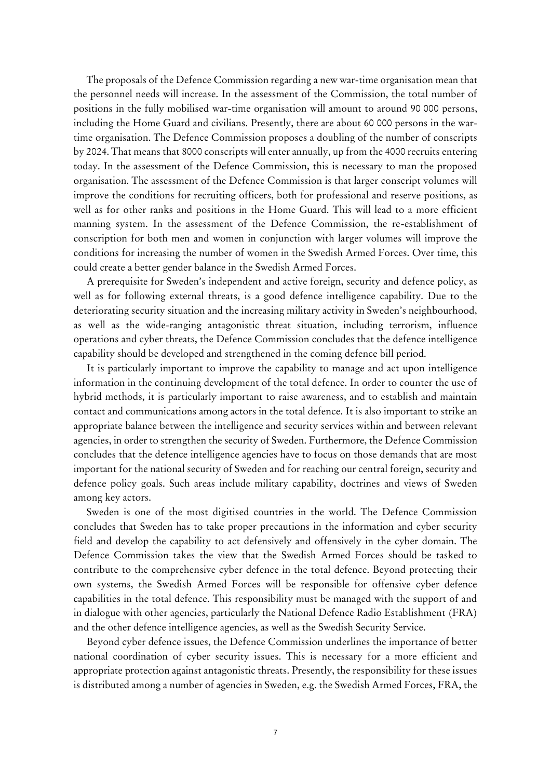The proposals of the Defence Commission regarding a new war-time organisation mean that the personnel needs will increase. In the assessment of the Commission, the total number of positions in the fully mobilised war-time organisation will amount to around 90 000 persons, including the Home Guard and civilians. Presently, there are about 60 000 persons in the wartime organisation. The Defence Commission proposes a doubling of the number of conscripts by 2024. That means that 8000 conscripts will enter annually, up from the 4000 recruits entering today. In the assessment of the Defence Commission, this is necessary to man the proposed organisation. The assessment of the Defence Commission is that larger conscript volumes will improve the conditions for recruiting officers, both for professional and reserve positions, as well as for other ranks and positions in the Home Guard. This will lead to a more efficient manning system. In the assessment of the Defence Commission, the re-establishment of conscription for both men and women in conjunction with larger volumes will improve the conditions for increasing the number of women in the Swedish Armed Forces. Over time, this could create a better gender balance in the Swedish Armed Forces.

A prerequisite for Sweden's independent and active foreign, security and defence policy, as well as for following external threats, is a good defence intelligence capability. Due to the deteriorating security situation and the increasing military activity in Sweden's neighbourhood, as well as the wide-ranging antagonistic threat situation, including terrorism, influence operations and cyber threats, the Defence Commission concludes that the defence intelligence capability should be developed and strengthened in the coming defence bill period.

It is particularly important to improve the capability to manage and act upon intelligence information in the continuing development of the total defence. In order to counter the use of hybrid methods, it is particularly important to raise awareness, and to establish and maintain contact and communications among actors in the total defence. It is also important to strike an appropriate balance between the intelligence and security services within and between relevant agencies, in order to strengthen the security of Sweden. Furthermore, the Defence Commission concludes that the defence intelligence agencies have to focus on those demands that are most important for the national security of Sweden and for reaching our central foreign, security and defence policy goals. Such areas include military capability, doctrines and views of Sweden among key actors.

Sweden is one of the most digitised countries in the world. The Defence Commission concludes that Sweden has to take proper precautions in the information and cyber security field and develop the capability to act defensively and offensively in the cyber domain. The Defence Commission takes the view that the Swedish Armed Forces should be tasked to contribute to the comprehensive cyber defence in the total defence. Beyond protecting their own systems, the Swedish Armed Forces will be responsible for offensive cyber defence capabilities in the total defence. This responsibility must be managed with the support of and in dialogue with other agencies, particularly the National Defence Radio Establishment (FRA) and the other defence intelligence agencies, as well as the Swedish Security Service.

Beyond cyber defence issues, the Defence Commission underlines the importance of better national coordination of cyber security issues. This is necessary for a more efficient and appropriate protection against antagonistic threats. Presently, the responsibility for these issues is distributed among a number of agencies in Sweden, e.g. the Swedish Armed Forces, FRA, the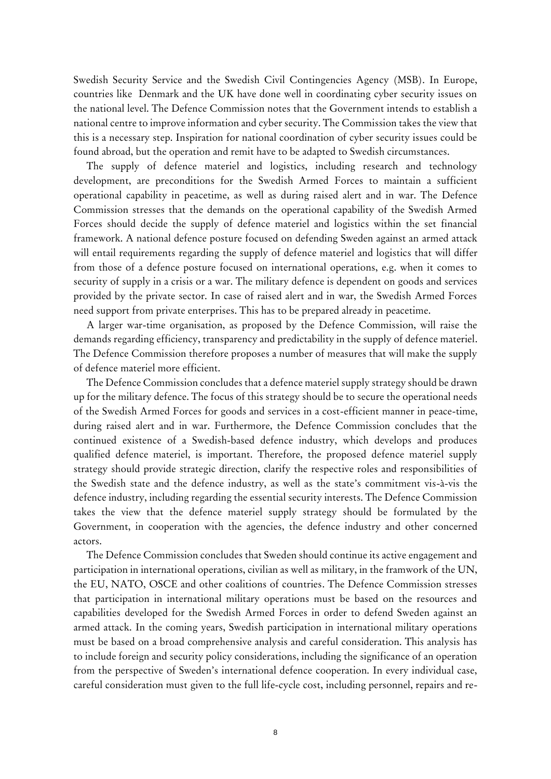Swedish Security Service and the Swedish Civil Contingencies Agency (MSB). In Europe, countries like Denmark and the UK have done well in coordinating cyber security issues on the national level. The Defence Commission notes that the Government intends to establish a national centre to improve information and cyber security. The Commission takes the view that this is a necessary step. Inspiration for national coordination of cyber security issues could be found abroad, but the operation and remit have to be adapted to Swedish circumstances.

The supply of defence materiel and logistics, including research and technology development, are preconditions for the Swedish Armed Forces to maintain a sufficient operational capability in peacetime, as well as during raised alert and in war. The Defence Commission stresses that the demands on the operational capability of the Swedish Armed Forces should decide the supply of defence materiel and logistics within the set financial framework. A national defence posture focused on defending Sweden against an armed attack will entail requirements regarding the supply of defence materiel and logistics that will differ from those of a defence posture focused on international operations, e.g. when it comes to security of supply in a crisis or a war. The military defence is dependent on goods and services provided by the private sector. In case of raised alert and in war, the Swedish Armed Forces need support from private enterprises. This has to be prepared already in peacetime.

A larger war-time organisation, as proposed by the Defence Commission, will raise the demands regarding efficiency, transparency and predictability in the supply of defence materiel. The Defence Commission therefore proposes a number of measures that will make the supply of defence materiel more efficient.

The Defence Commission concludes that a defence materiel supply strategy should be drawn up for the military defence. The focus of this strategy should be to secure the operational needs of the Swedish Armed Forces for goods and services in a cost-efficient manner in peace-time, during raised alert and in war. Furthermore, the Defence Commission concludes that the continued existence of a Swedish-based defence industry, which develops and produces qualified defence materiel, is important. Therefore, the proposed defence materiel supply strategy should provide strategic direction, clarify the respective roles and responsibilities of the Swedish state and the defence industry, as well as the state's commitment vis-à-vis the defence industry, including regarding the essential security interests. The Defence Commission takes the view that the defence materiel supply strategy should be formulated by the Government, in cooperation with the agencies, the defence industry and other concerned actors.

The Defence Commission concludes that Sweden should continue its active engagement and participation in international operations, civilian as well as military, in the framwork of the UN, the EU, NATO, OSCE and other coalitions of countries. The Defence Commission stresses that participation in international military operations must be based on the resources and capabilities developed for the Swedish Armed Forces in order to defend Sweden against an armed attack. In the coming years, Swedish participation in international military operations must be based on a broad comprehensive analysis and careful consideration. This analysis has to include foreign and security policy considerations, including the significance of an operation from the perspective of Sweden's international defence cooperation. In every individual case, careful consideration must given to the full life-cycle cost, including personnel, repairs and re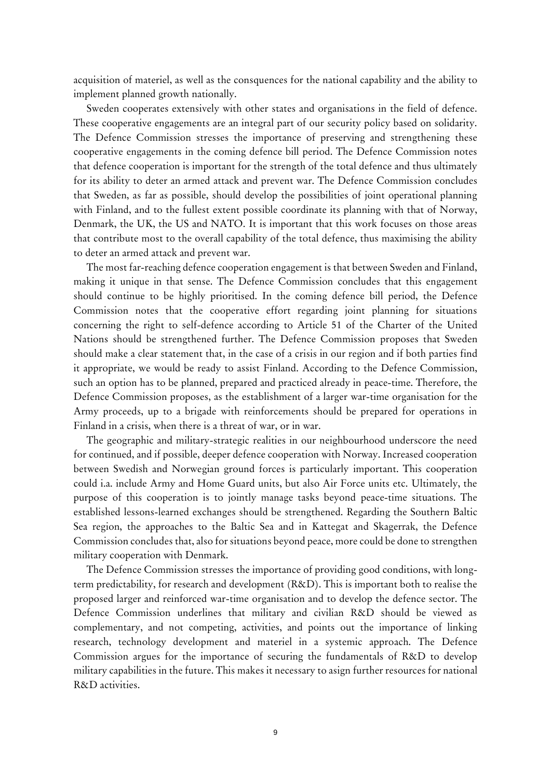acquisition of materiel, as well as the consquences for the national capability and the ability to implement planned growth nationally.

Sweden cooperates extensively with other states and organisations in the field of defence. These cooperative engagements are an integral part of our security policy based on solidarity. The Defence Commission stresses the importance of preserving and strengthening these cooperative engagements in the coming defence bill period. The Defence Commission notes that defence cooperation is important for the strength of the total defence and thus ultimately for its ability to deter an armed attack and prevent war. The Defence Commission concludes that Sweden, as far as possible, should develop the possibilities of joint operational planning with Finland, and to the fullest extent possible coordinate its planning with that of Norway, Denmark, the UK, the US and NATO. It is important that this work focuses on those areas that contribute most to the overall capability of the total defence, thus maximising the ability to deter an armed attack and prevent war.

The most far-reaching defence cooperation engagement is that between Sweden and Finland, making it unique in that sense. The Defence Commission concludes that this engagement should continue to be highly prioritised. In the coming defence bill period, the Defence Commission notes that the cooperative effort regarding joint planning for situations concerning the right to self-defence according to Article 51 of the Charter of the United Nations should be strengthened further. The Defence Commission proposes that Sweden should make a clear statement that, in the case of a crisis in our region and if both parties find it appropriate, we would be ready to assist Finland. According to the Defence Commission, such an option has to be planned, prepared and practiced already in peace-time. Therefore, the Defence Commission proposes, as the establishment of a larger war-time organisation for the Army proceeds, up to a brigade with reinforcements should be prepared for operations in Finland in a crisis, when there is a threat of war, or in war.

The geographic and military-strategic realities in our neighbourhood underscore the need for continued, and if possible, deeper defence cooperation with Norway. Increased cooperation between Swedish and Norwegian ground forces is particularly important. This cooperation could i.a. include Army and Home Guard units, but also Air Force units etc. Ultimately, the purpose of this cooperation is to jointly manage tasks beyond peace-time situations. The established lessons-learned exchanges should be strengthened. Regarding the Southern Baltic Sea region, the approaches to the Baltic Sea and in Kattegat and Skagerrak, the Defence Commission concludes that, also for situations beyond peace, more could be done to strengthen military cooperation with Denmark.

The Defence Commission stresses the importance of providing good conditions, with longterm predictability, for research and development (R&D). This is important both to realise the proposed larger and reinforced war-time organisation and to develop the defence sector. The Defence Commission underlines that military and civilian R&D should be viewed as complementary, and not competing, activities, and points out the importance of linking research, technology development and materiel in a systemic approach. The Defence Commission argues for the importance of securing the fundamentals of R&D to develop military capabilities in the future. This makes it necessary to asign further resources for national R&D activities.